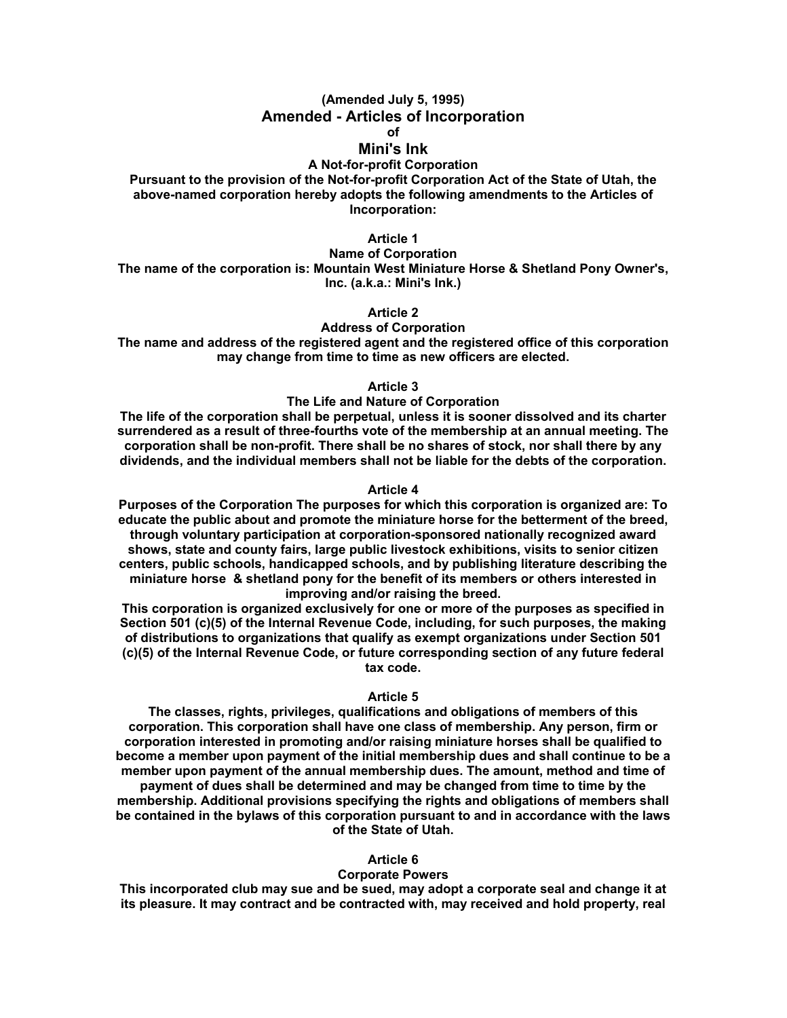## **(Amended July 5, 1995) Amended - Articles of Incorporation of**

## **Mini's Ink**

# **A Not-for-profit Corporation**

**Pursuant to the provision of the Not-for-profit Corporation Act of the State of Utah, the above-named corporation hereby adopts the following amendments to the Articles of Incorporation:** 

# **Article 1**

**Name of Corporation The name of the corporation is: Mountain West Miniature Horse & Shetland Pony Owner's, Inc. (a.k.a.: Mini's Ink.)** 

**Article 2** 

# **Address of Corporation**

**The name and address of the registered agent and the registered office of this corporation may change from time to time as new officers are elected.** 

**Article 3** 

### **The Life and Nature of Corporation**

**The life of the corporation shall be perpetual, unless it is sooner dissolved and its charter surrendered as a result of three-fourths vote of the membership at an annual meeting. The corporation shall be non-profit. There shall be no shares of stock, nor shall there by any dividends, and the individual members shall not be liable for the debts of the corporation.** 

## **Article 4**

**Purposes of the Corporation The purposes for which this corporation is organized are: To educate the public about and promote the miniature horse for the betterment of the breed, through voluntary participation at corporation-sponsored nationally recognized award shows, state and county fairs, large public livestock exhibitions, visits to senior citizen centers, public schools, handicapped schools, and by publishing literature describing the miniature horse & shetland pony for the benefit of its members or others interested in improving and/or raising the breed.** 

**This corporation is organized exclusively for one or more of the purposes as specified in Section 501 (c)(5) of the Internal Revenue Code, including, for such purposes, the making of distributions to organizations that qualify as exempt organizations under Section 501 (c)(5) of the Internal Revenue Code, or future corresponding section of any future federal tax code.** 

#### **Article 5**

**The classes, rights, privileges, qualifications and obligations of members of this corporation. This corporation shall have one class of membership. Any person, firm or corporation interested in promoting and/or raising miniature horses shall be qualified to become a member upon payment of the initial membership dues and shall continue to be a member upon payment of the annual membership dues. The amount, method and time of payment of dues shall be determined and may be changed from time to time by the membership. Additional provisions specifying the rights and obligations of members shall be contained in the bylaws of this corporation pursuant to and in accordance with the laws of the State of Utah.** 

### **Article 6**

### **Corporate Powers**

**This incorporated club may sue and be sued, may adopt a corporate seal and change it at its pleasure. It may contract and be contracted with, may received and hold property, real**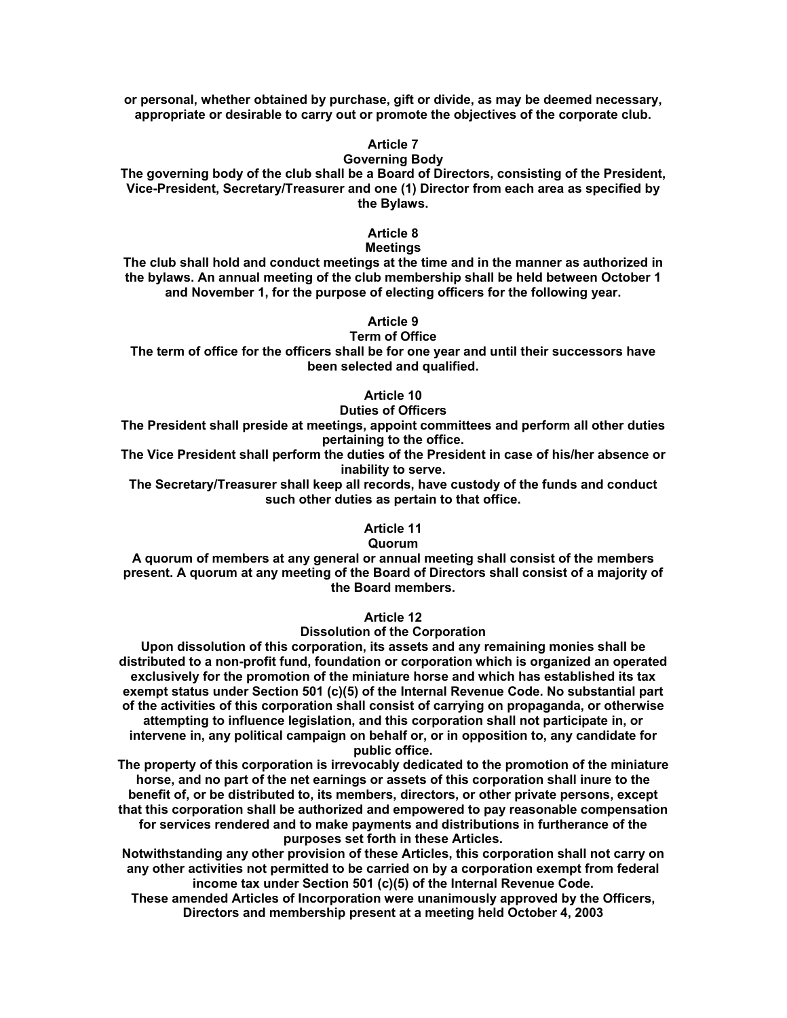**or personal, whether obtained by purchase, gift or divide, as may be deemed necessary, appropriate or desirable to carry out or promote the objectives of the corporate club.** 

# **Article 7**

### **Governing Body**

**The governing body of the club shall be a Board of Directors, consisting of the President, Vice-President, Secretary/Treasurer and one (1) Director from each area as specified by the Bylaws.** 

# **Article 8**

### **Meetings**

**The club shall hold and conduct meetings at the time and in the manner as authorized in the bylaws. An annual meeting of the club membership shall be held between October 1 and November 1, for the purpose of electing officers for the following year.** 

# **Article 9**

**Term of Office** 

**The term of office for the officers shall be for one year and until their successors have been selected and qualified.** 

# **Article 10**

# **Duties of Officers**

**The President shall preside at meetings, appoint committees and perform all other duties pertaining to the office.** 

**The Vice President shall perform the duties of the President in case of his/her absence or inability to serve.** 

**The Secretary/Treasurer shall keep all records, have custody of the funds and conduct such other duties as pertain to that office.** 

## **Article 11**

### **Quorum**

**A quorum of members at any general or annual meeting shall consist of the members present. A quorum at any meeting of the Board of Directors shall consist of a majority of the Board members.** 

**Article 12** 

### **Dissolution of the Corporation**

**Upon dissolution of this corporation, its assets and any remaining monies shall be distributed to a non-profit fund, foundation or corporation which is organized an operated exclusively for the promotion of the miniature horse and which has established its tax exempt status under Section 501 (c)(5) of the Internal Revenue Code. No substantial part of the activities of this corporation shall consist of carrying on propaganda, or otherwise attempting to influence legislation, and this corporation shall not participate in, or intervene in, any political campaign on behalf or, or in opposition to, any candidate for public office.** 

**The property of this corporation is irrevocably dedicated to the promotion of the miniature horse, and no part of the net earnings or assets of this corporation shall inure to the benefit of, or be distributed to, its members, directors, or other private persons, except that this corporation shall be authorized and empowered to pay reasonable compensation for services rendered and to make payments and distributions in furtherance of the purposes set forth in these Articles.** 

**Notwithstanding any other provision of these Articles, this corporation shall not carry on any other activities not permitted to be carried on by a corporation exempt from federal income tax under Section 501 (c)(5) of the Internal Revenue Code.** 

**These amended Articles of Incorporation were unanimously approved by the Officers, Directors and membership present at a meeting held October 4, 2003**